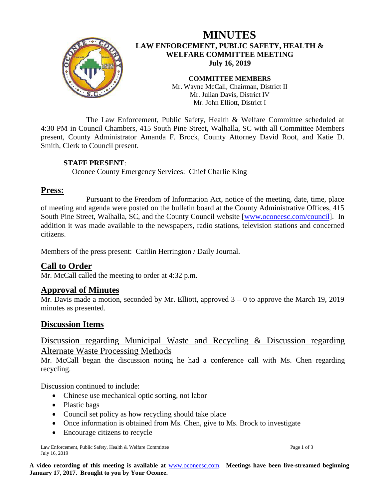

# **MINUTES LAW ENFORCEMENT, PUBLIC SAFETY, HEALTH & WELFARE COMMITTEE MEETING July 16, 2019**

**COMMITTEE MEMBERS** Mr. Wayne McCall, Chairman, District II Mr. Julian Davis, District IV Mr. John Elliott, District I

The Law Enforcement, Public Safety, Health & Welfare Committee scheduled at 4:30 PM in Council Chambers, 415 South Pine Street, Walhalla, SC with all Committee Members present, County Administrator Amanda F. Brock, County Attorney David Root, and Katie D. Smith, Clerk to Council present.

#### **STAFF PRESENT**:

Oconee County Emergency Services: Chief Charlie King

# **Press:**

Pursuant to the Freedom of Information Act, notice of the meeting, date, time, place of meeting and agenda were posted on the bulletin board at the County Administrative Offices, 415 South Pine Street, Walhalla, SC, and the County Council website [\[www.oconeesc.com/council\]](http://www.oconeesc.com/council). In addition it was made available to the newspapers, radio stations, television stations and concerned citizens.

Members of the press present: Caitlin Herrington / Daily Journal.

# **Call to Order**

Mr. McCall called the meeting to order at 4:32 p.m.

# **Approval of Minutes**

Mr. Davis made a motion, seconded by Mr. Elliott, approved  $3 - 0$  to approve the March 19, 2019 minutes as presented.

# **Discussion Items**

# Discussion regarding Municipal Waste and Recycling & Discussion regarding Alternate Waste Processing Methods

Mr. McCall began the discussion noting he had a conference call with Ms. Chen regarding recycling.

Discussion continued to include:

- Chinese use mechanical optic sorting, not labor
- Plastic bags
- Council set policy as how recycling should take place
- Once information is obtained from Ms. Chen, give to Ms. Brock to investigate
- Encourage citizens to recycle

Law Enforcement, Public Safety, Health & Welfare Committee Page 1 of 3 July 16, 2019

**A video recording of this meeting is available at** [www.oconeesc.com.](http://www.oconeesc.com/) **Meetings have been live-streamed beginning January 17, 2017. Brought to you by Your Oconee.**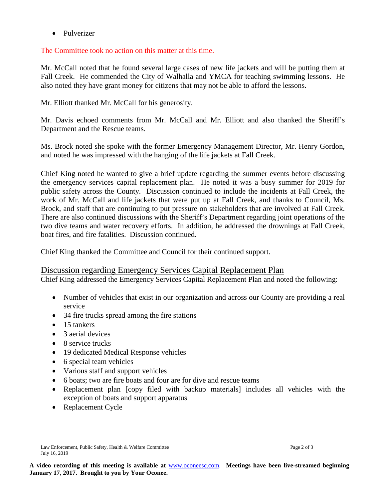• Pulverizer

The Committee took no action on this matter at this time.

Mr. McCall noted that he found several large cases of new life jackets and will be putting them at Fall Creek. He commended the City of Walhalla and YMCA for teaching swimming lessons. He also noted they have grant money for citizens that may not be able to afford the lessons.

Mr. Elliott thanked Mr. McCall for his generosity.

Mr. Davis echoed comments from Mr. McCall and Mr. Elliott and also thanked the Sheriff's Department and the Rescue teams.

Ms. Brock noted she spoke with the former Emergency Management Director, Mr. Henry Gordon, and noted he was impressed with the hanging of the life jackets at Fall Creek.

Chief King noted he wanted to give a brief update regarding the summer events before discussing the emergency services capital replacement plan. He noted it was a busy summer for 2019 for public safety across the County. Discussion continued to include the incidents at Fall Creek, the work of Mr. McCall and life jackets that were put up at Fall Creek, and thanks to Council, Ms. Brock, and staff that are continuing to put pressure on stakeholders that are involved at Fall Creek. There are also continued discussions with the Sheriff's Department regarding joint operations of the two dive teams and water recovery efforts. In addition, he addressed the drownings at Fall Creek, boat fires, and fire fatalities. Discussion continued.

Chief King thanked the Committee and Council for their continued support.

#### Discussion regarding Emergency Services Capital Replacement Plan

Chief King addressed the Emergency Services Capital Replacement Plan and noted the following:

- Number of vehicles that exist in our organization and across our County are providing a real service
- 34 fire trucks spread among the fire stations
- 15 tankers
- 3 aerial devices
- 8 service trucks
- 19 dedicated Medical Response vehicles
- 6 special team vehicles
- Various staff and support vehicles
- 6 boats; two are fire boats and four are for dive and rescue teams
- Replacement plan [copy filed with backup materials] includes all vehicles with the exception of boats and support apparatus
- Replacement Cycle

Law Enforcement, Public Safety, Health & Welfare Committee Page 2 of 3 July 16, 2019